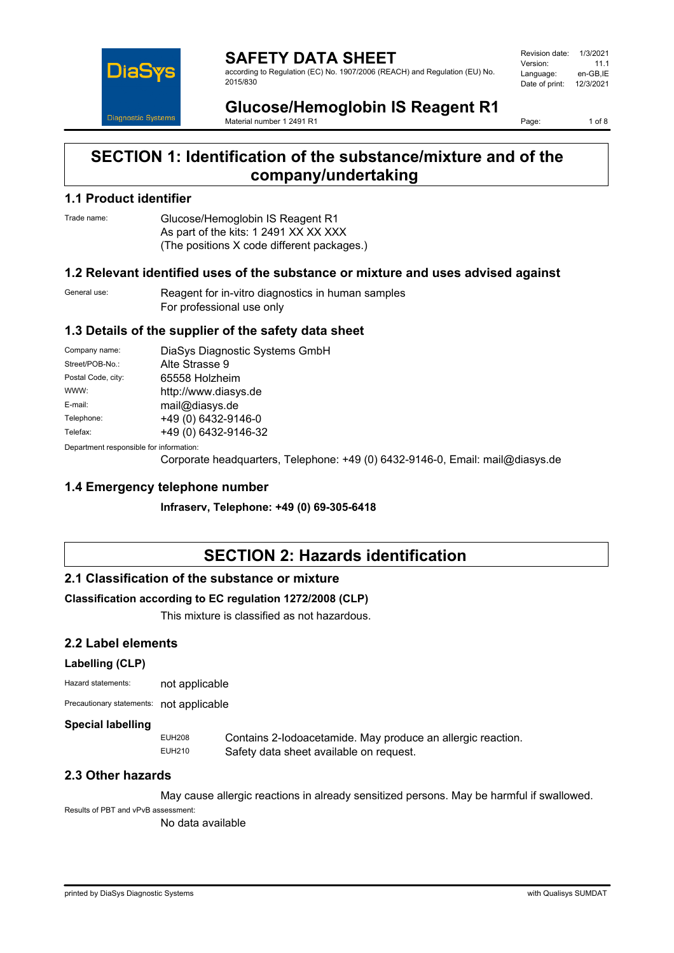

**SAFETY DATA SHEET** according to Regulation (EC) No. 1907/2006 (REACH) and Regulation (EU) No. 2015/830

| Revision date: | 1/3/2021  |
|----------------|-----------|
| Version:       | 11 1      |
| Language:      | en-GB.IE  |
| Date of print: | 12/3/2021 |
|                |           |

**Glucose/Hemoglobin IS Reagent R1** Material number 1 2491 R1

Page: 1 of 8

# **SECTION 1: Identification of the substance/mixture and of the company/undertaking**

### **1.1 Product identifier**

Trade name: Glucose/Hemoglobin IS Reagent R1 As part of the kits: 1 2491 XX XX XXX (The positions X code different packages.)

### **1.2 Relevant identified uses of the substance or mixture and uses advised against**

General use: Reagent for in-vitro diagnostics in human samples For professional use only

### **1.3 Details of the supplier of the safety data sheet**

| Company name:                           | DiaSys Diagnostic Systems GmbH |
|-----------------------------------------|--------------------------------|
| Street/POB-No.:                         | Alte Strasse 9                 |
| Postal Code, city:                      | 65558 Holzheim                 |
| WWW:                                    | http://www.diasys.de           |
| E-mail:                                 | mail@diasys.de                 |
| Telephone:                              | +49 (0) 6432-9146-0            |
| Telefax:                                | +49 (0) 6432-9146-32           |
| Department responsible for information: |                                |

Department responsible for information:

Corporate headquarters, Telephone: +49 (0) 6432-9146-0, Email: mail@diasys.de

### **1.4 Emergency telephone number**

**Infraserv, Telephone: +49 (0) 69-305-6418**

# **SECTION 2: Hazards identification**

### **2.1 Classification of the substance or mixture**

### **Classification according to EC regulation 1272/2008 (CLP)**

This mixture is classified as not hazardous.

## **2.2 Label elements**

### **Labelling (CLP)**

| Hazard statements: | not applicable |
|--------------------|----------------|
|                    |                |

Precautionary statements: not applicable

### **Special labelling**

EUH208 Contains 2-Iodoacetamide. May produce an allergic reaction.<br>EUH210 Safety data sheet available on request Safety data sheet available on request.

### **2.3 Other hazards**

May cause allergic reactions in already sensitized persons. May be harmful if swallowed.

Results of PBT and vPvB assessment:

No data available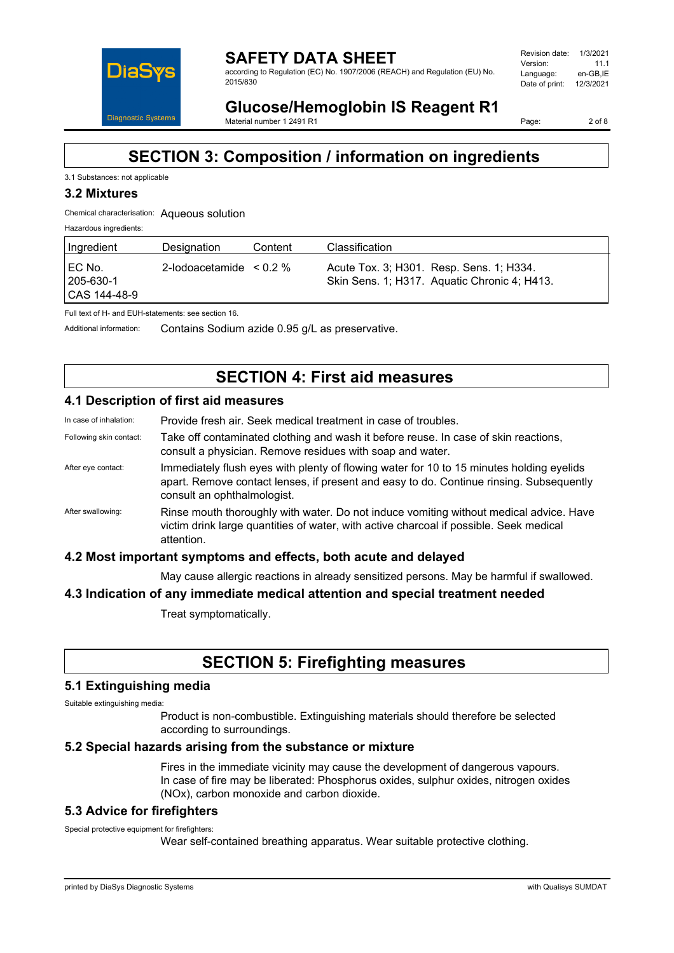

#### **SAFETY DATA SHEET** according to Regulation (EC) No. 1907/2006 (REACH) and Regulation (EU) No. 2015/830

| Revision date: | 1/3/2021  |
|----------------|-----------|
| Version:       | 11 1      |
| Language:      | en-GB.IE  |
| Date of print: | 12/3/2021 |
|                |           |

# **Glucose/Hemoglobin IS Reagent R1**

Material number 1 2491 R1

Page: 2 of 8

# **SECTION 3: Composition / information on ingredients**

### 3.1 Substances: not applicable

### **3.2 Mixtures**

### Chemical characterisation: Aqueous solution

Hazardous ingredients:

| Ingredient                            | Designation                  | Content | Classification                                                                           |
|---------------------------------------|------------------------------|---------|------------------------------------------------------------------------------------------|
| I EC No.<br>205-630-1<br>CAS 144-48-9 | 2-lodoacetamide $\leq 0.2\%$ |         | Acute Tox. 3; H301. Resp. Sens. 1; H334.<br>Skin Sens. 1; H317. Aquatic Chronic 4; H413. |

Full text of H- and EUH-statements: see section 16.

Additional information: Contains Sodium azide 0.95 g/L as preservative.

# **SECTION 4: First aid measures**

### **4.1 Description of first aid measures**

| In case of inhalation:  | Provide fresh air. Seek medical treatment in case of troubles.                                                                                                                                                     |
|-------------------------|--------------------------------------------------------------------------------------------------------------------------------------------------------------------------------------------------------------------|
| Following skin contact: | Take off contaminated clothing and wash it before reuse. In case of skin reactions,<br>consult a physician. Remove residues with soap and water.                                                                   |
| After eye contact:      | Immediately flush eyes with plenty of flowing water for 10 to 15 minutes holding eyelids<br>apart. Remove contact lenses, if present and easy to do. Continue rinsing. Subsequently<br>consult an ophthalmologist. |
| After swallowing:       | Rinse mouth thoroughly with water. Do not induce vomiting without medical advice. Have<br>victim drink large quantities of water, with active charcoal if possible. Seek medical<br>attention.                     |
|                         | 4.2 Most important symptoms and effects, both acute and delayed                                                                                                                                                    |

May cause allergic reactions in already sensitized persons. May be harmful if swallowed.

### **4.3 Indication of any immediate medical attention and special treatment needed**

Treat symptomatically.

# **SECTION 5: Firefighting measures**

### **5.1 Extinguishing media**

Suitable extinguishing media:

Product is non-combustible. Extinguishing materials should therefore be selected according to surroundings.

### **5.2 Special hazards arising from the substance or mixture**

Fires in the immediate vicinity may cause the development of dangerous vapours. In case of fire may be liberated: Phosphorus oxides, sulphur oxides, nitrogen oxides (NOx), carbon monoxide and carbon dioxide.

### **5.3 Advice for firefighters**

Special protective equipment for firefighters:

Wear self-contained breathing apparatus. Wear suitable protective clothing.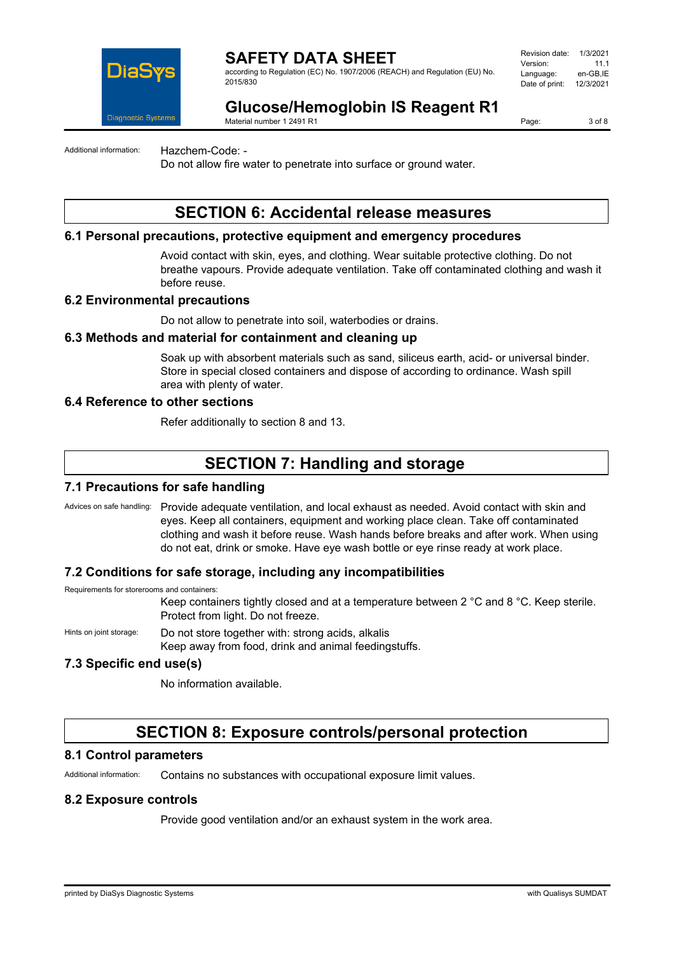

according to Regulation (EC) No. 1907/2006 (REACH) and Regulation (EU) No. 2015/830

| Revision date: | 1/3/2021  |
|----------------|-----------|
| Version:       | 11 1      |
| Language:      | en-GB.IE  |
| Date of print: | 12/3/2021 |
|                |           |

# **Glucose/Hemoglobin IS Reagent R1**

Material number 1 2491 R1

Page: 3 of 8

Additional information: Hazchem-Code: -

Do not allow fire water to penetrate into surface or ground water.

## **SECTION 6: Accidental release measures**

### **6.1 Personal precautions, protective equipment and emergency procedures**

Avoid contact with skin, eyes, and clothing. Wear suitable protective clothing. Do not breathe vapours. Provide adequate ventilation. Take off contaminated clothing and wash it before reuse.

### **6.2 Environmental precautions**

Do not allow to penetrate into soil, waterbodies or drains.

### **6.3 Methods and material for containment and cleaning up**

Soak up with absorbent materials such as sand, siliceus earth, acid- or universal binder. Store in special closed containers and dispose of according to ordinance. Wash spill area with plenty of water.

### **6.4 Reference to other sections**

Refer additionally to section 8 and 13.

## **SECTION 7: Handling and storage**

### **7.1 Precautions for safe handling**

Advices on safe handling: Provide adequate ventilation, and local exhaust as needed. Avoid contact with skin and eyes. Keep all containers, equipment and working place clean. Take off contaminated clothing and wash it before reuse. Wash hands before breaks and after work. When using do not eat, drink or smoke. Have eye wash bottle or eye rinse ready at work place.

### **7.2 Conditions for safe storage, including any incompatibilities**

Requirements for storerooms and containers:

Keep containers tightly closed and at a temperature between 2 °C and 8 °C. Keep sterile. Protect from light. Do not freeze.

Hints on joint storage: Do not store together with: strong acids, alkalis

Keep away from food, drink and animal feedingstuffs.

### **7.3 Specific end use(s)**

No information available.

## **SECTION 8: Exposure controls/personal protection**

### **8.1 Control parameters**

Additional information: Contains no substances with occupational exposure limit values.

### **8.2 Exposure controls**

Provide good ventilation and/or an exhaust system in the work area.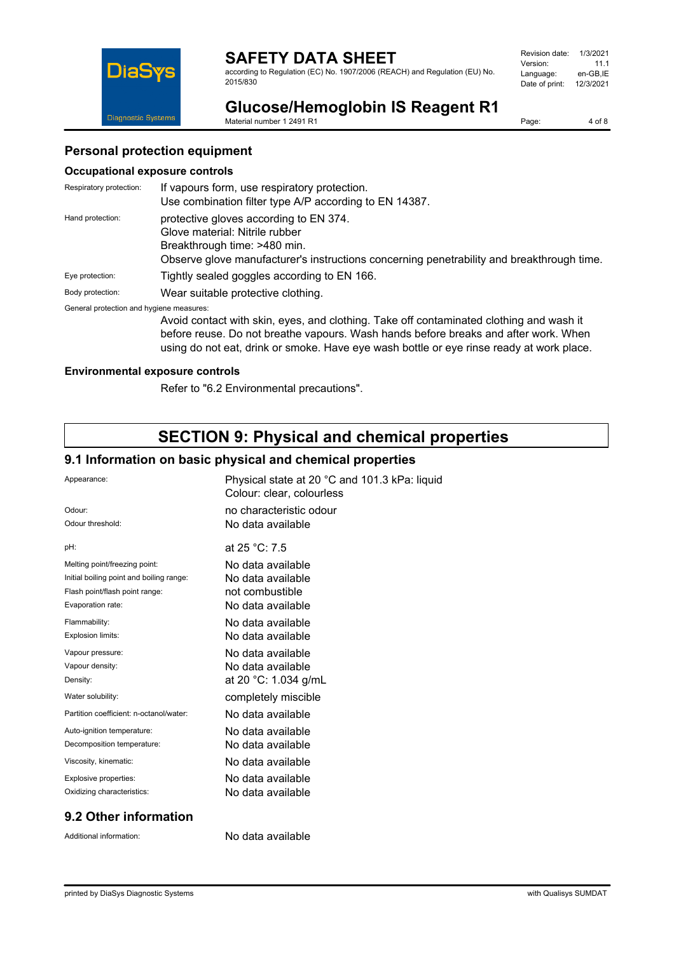according to Regulation (EC) No. 1907/2006 (REACH) and Regulation (EU) No. 2015/830

| Revision date: | 1/3/2021  |
|----------------|-----------|
| Version:       | 11 1      |
| Language:      | en-GB.IE  |
| Date of print: | 12/3/2021 |
|                |           |



**Glucose/Hemoglobin IS Reagent R1**

Material number 1 2491 R1

Page: 4 of 8

## **Personal protection equipment**

### **Occupational exposure controls**

| Respiratory protection:                  | If vapours form, use respiratory protection.<br>Use combination filter type A/P according to EN 14387.                                                                                                |
|------------------------------------------|-------------------------------------------------------------------------------------------------------------------------------------------------------------------------------------------------------|
| Hand protection:                         | protective gloves according to EN 374.<br>Glove material: Nitrile rubber<br>Breakthrough time: >480 min.<br>Observe glove manufacturer's instructions concerning penetrability and breakthrough time. |
| Eye protection:                          | Tightly sealed goggles according to EN 166.                                                                                                                                                           |
| Body protection:                         | Wear suitable protective clothing.                                                                                                                                                                    |
| General protection and hygiene measures: | Avoid contact with skin, eyes, and clothing. Take off contaminated clothing and wash it                                                                                                               |

before reuse. Do not breathe vapours. Wash hands before breaks and after work. When using do not eat, drink or smoke. Have eye wash bottle or eye rinse ready at work place.

### **Environmental exposure controls**

Refer to "6.2 Environmental precautions".

## **SECTION 9: Physical and chemical properties**

### **9.1 Information on basic physical and chemical properties**

| Appearance:                              | Physical state at 20 °C and 101.3 kPa: liquid<br>Colour: clear, colourless |
|------------------------------------------|----------------------------------------------------------------------------|
| Odour:                                   | no characteristic odour                                                    |
| Odour threshold:                         | No data available                                                          |
| pH:                                      | at $25 °C$ : 7.5                                                           |
| Melting point/freezing point:            | No data available                                                          |
| Initial boiling point and boiling range: | No data available                                                          |
| Flash point/flash point range:           | not combustible                                                            |
| Evaporation rate:                        | No data available                                                          |
| Flammability:                            | No data available                                                          |
| Explosion limits:                        | No data available                                                          |
| Vapour pressure:                         | No data available                                                          |
| Vapour density:                          | No data available                                                          |
| Density:                                 | at 20 °C: 1.034 g/mL                                                       |
| Water solubility:                        | completely miscible                                                        |
| Partition coefficient: n-octanol/water:  | No data available                                                          |
| Auto-ignition temperature:               | No data available                                                          |
| Decomposition temperature:               | No data available                                                          |
| Viscosity, kinematic:                    | No data available                                                          |
| Explosive properties:                    | No data available                                                          |
| Oxidizing characteristics:               | No data available                                                          |
|                                          |                                                                            |

## **9.2 Other information**

Additional information: No data available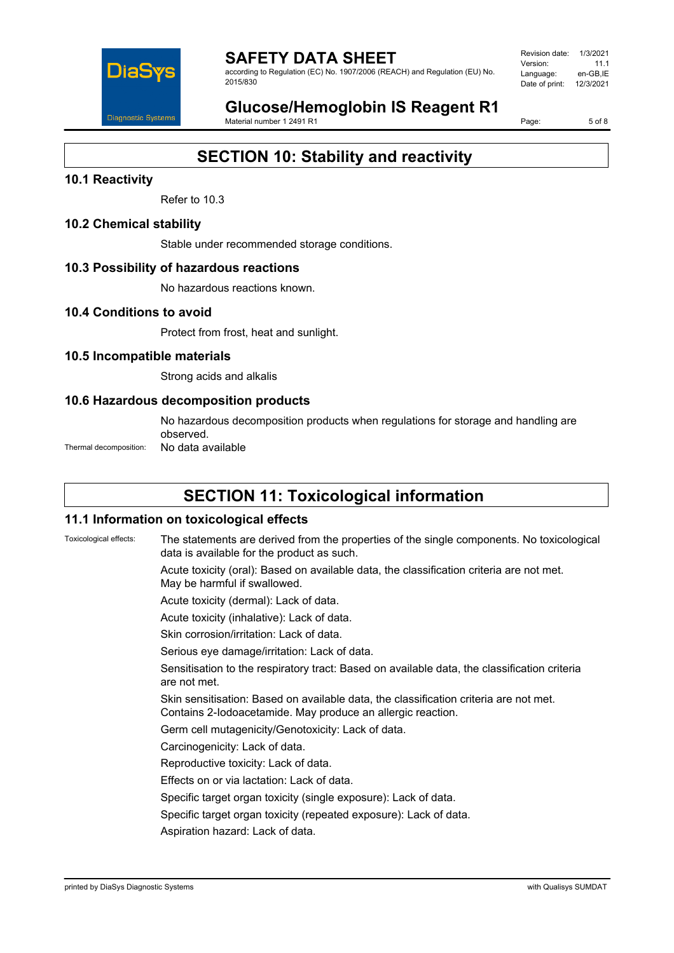

according to Regulation (EC) No. 1907/2006 (REACH) and Regulation (EU) No. 2015/830

Revision date: 1/3/2021 Version: 11.1<br>Language: en-GB IE Language: Date of print: 12/3/2021

# **Glucose/Hemoglobin IS Reagent R1**

Material number 1 2491 R1

Page: 5 of 8

# **SECTION 10: Stability and reactivity**

## **10.1 Reactivity**

Refer to 10.3

## **10.2 Chemical stability**

Stable under recommended storage conditions.

### **10.3 Possibility of hazardous reactions**

No hazardous reactions known.

### **10.4 Conditions to avoid**

Protect from frost, heat and sunlight.

### **10.5 Incompatible materials**

Strong acids and alkalis

### **10.6 Hazardous decomposition products**

No hazardous decomposition products when regulations for storage and handling are observed.

Thermal decomposition: No data available

# **SECTION 11: Toxicological information**

### **11.1 Information on toxicological effects**

Toxicological effects: The statements are derived from the properties of the single components. No toxicological data is available for the product as such. Acute toxicity (oral): Based on available data, the classification criteria are not met. May be harmful if swallowed. Acute toxicity (dermal): Lack of data. Acute toxicity (inhalative): Lack of data. Skin corrosion/irritation: Lack of data. Serious eye damage/irritation: Lack of data. Sensitisation to the respiratory tract: Based on available data, the classification criteria are not met. Skin sensitisation: Based on available data, the classification criteria are not met. Contains 2-Iodoacetamide. May produce an allergic reaction. Germ cell mutagenicity/Genotoxicity: Lack of data. Carcinogenicity: Lack of data. Reproductive toxicity: Lack of data. Effects on or via lactation: Lack of data. Specific target organ toxicity (single exposure): Lack of data. Specific target organ toxicity (repeated exposure): Lack of data. Aspiration hazard: Lack of data.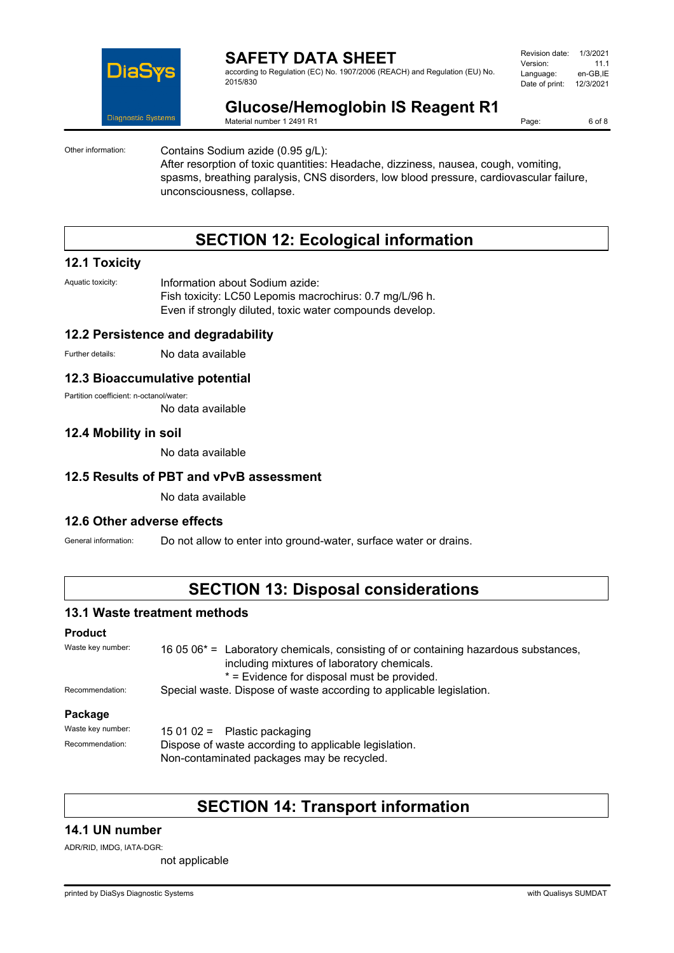

according to Regulation (EC) No. 1907/2006 (REACH) and Regulation (EU) No. 2015/830

| Revision date: | 1/3/2021  |
|----------------|-----------|
| Version:       | 11 1      |
| Language:      | en-GB.IE  |
| Date of print: | 12/3/2021 |
|                |           |

# **Glucose/Hemoglobin IS Reagent R1**

Material number 1 2491 R1

Page: 6 of 8

Other information: Contains Sodium azide (0.95 g/L):

After resorption of toxic quantities: Headache, dizziness, nausea, cough, vomiting, spasms, breathing paralysis, CNS disorders, low blood pressure, cardiovascular failure, unconsciousness, collapse.

# **SECTION 12: Ecological information**

### **12.1 Toxicity**

Aquatic toxicity: **Information about Sodium azide:** Fish toxicity: LC50 Lepomis macrochirus: 0.7 mg/L/96 h. Even if strongly diluted, toxic water compounds develop.

### **12.2 Persistence and degradability**

Further details: No data available

### **12.3 Bioaccumulative potential**

Partition coefficient: n-octanol/water:

No data available

## **12.4 Mobility in soil**

No data available

## **12.5 Results of PBT and vPvB assessment**

No data available

### **12.6 Other adverse effects**

General information: Do not allow to enter into ground-water, surface water or drains.

## **SECTION 13: Disposal considerations**

### **13.1 Waste treatment methods**

#### **Product**

| Waste key number: | 16 05 06 <sup>*</sup> = Laboratory chemicals, consisting of or containing hazardous substances,<br>including mixtures of laboratory chemicals.<br>* = Evidence for disposal must be provided. |
|-------------------|-----------------------------------------------------------------------------------------------------------------------------------------------------------------------------------------------|
| Recommendation:   | Special waste. Dispose of waste according to applicable legislation.                                                                                                                          |
| Package           |                                                                                                                                                                                               |
| Waste key number: | 15 01 02 = Plastic packaging                                                                                                                                                                  |
| Recommendation:   | Dispose of waste according to applicable legislation.<br>Non-contaminated packages may be recycled.                                                                                           |

## **SECTION 14: Transport information**

### **14.1 UN number**

ADR/RID, IMDG, IATA-DGR:

not applicable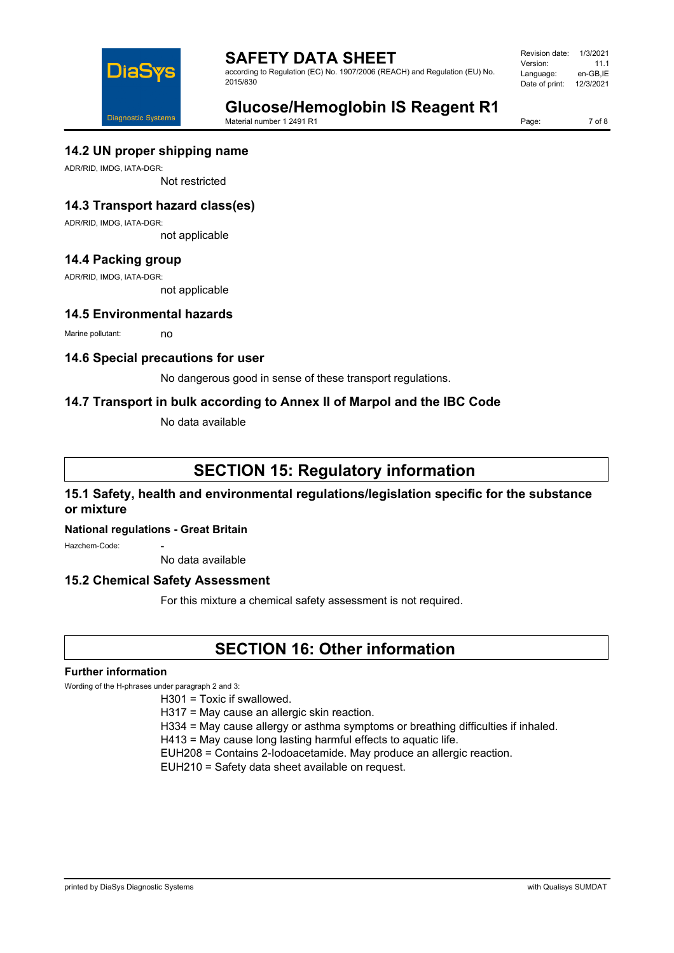

according to Regulation (EC) No. 1907/2006 (REACH) and Regulation (EU) No. 2015/830

Revision date: 1/3/2021 Version: 11.1<br>Language: en-GB.IE Language: Date of print: 12/3/2021

# **Glucose/Hemoglobin IS Reagent R1**

Material number 1 2491 R1

Page: 7 of 8

### **14.2 UN proper shipping name**

ADR/RID, IMDG, IATA-DGR:

Not restricted

## **14.3 Transport hazard class(es)**

ADR/RID, IMDG, IATA-DGR:

not applicable

## **14.4 Packing group**

ADR/RID, IMDG, IATA-DGR:

not applicable

### **14.5 Environmental hazards**

Marine pollutant: no

### **14.6 Special precautions for user**

No dangerous good in sense of these transport regulations.

## **14.7 Transport in bulk according to Annex II of Marpol and the IBC Code**

No data available

# **SECTION 15: Regulatory information**

## **15.1 Safety, health and environmental regulations/legislation specific for the substance or mixture**

### **National regulations - Great Britain**

Hazchem-Code:

No data available

### **15.2 Chemical Safety Assessment**

For this mixture a chemical safety assessment is not required.

## **SECTION 16: Other information**

### **Further information**

Wording of the H-phrases under paragraph 2 and 3:

H301 = Toxic if swallowed.

H317 = May cause an allergic skin reaction.

H334 = May cause allergy or asthma symptoms or breathing difficulties if inhaled.

H413 = May cause long lasting harmful effects to aquatic life.

EUH208 = Contains 2-Iodoacetamide. May produce an allergic reaction.

EUH210 = Safety data sheet available on request.